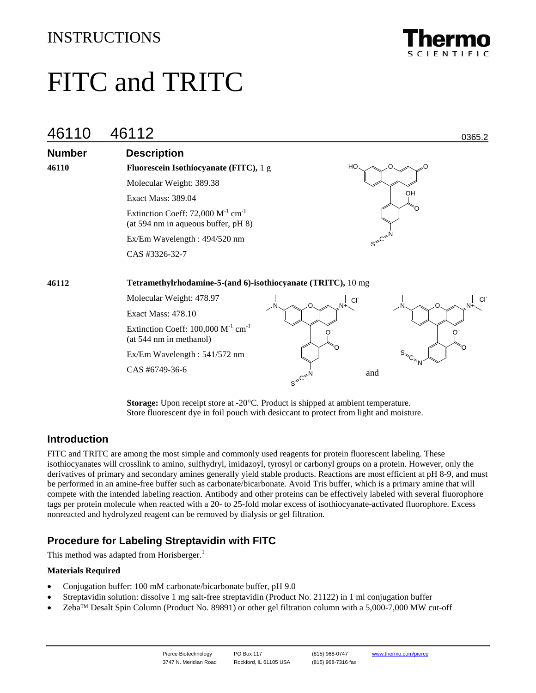# INSTRUCTIONS



# FITC and TRITC

| 46110         | 46112                                                                                     | 0365.2                          |
|---------------|-------------------------------------------------------------------------------------------|---------------------------------|
| <b>Number</b> | <b>Description</b>                                                                        |                                 |
| 46110         | Fluorescein Isothiocyanate (FITC), 1 g                                                    | HO<br>റ                         |
|               | Molecular Weight: 389.38                                                                  |                                 |
|               | Exact Mass: 389.04                                                                        | OH                              |
|               | Extinction Coeff: 72,000 $M^{-1}$ cm <sup>-1</sup><br>(at 594 nm in aqueous buffer, pH 8) |                                 |
|               | Ex/Em Wavelength: 494/520 nm                                                              | $s^{\text{max}}$                |
|               | CAS #3326-32-7                                                                            |                                 |
| 46112         | Tetramethylrhodamine-5-(and 6)-isothiocyanate (TRITC), 10 mg                              |                                 |
|               | Molecular Weight: 478.97                                                                  | <b>CI</b><br>CI                 |
|               | Exact Mass: 478.10                                                                        |                                 |
|               | Extinction Coeff: $100,000 \text{ M}^{-1} \text{ cm}^{-1}$<br>(at 544 nm in methanol)     | σ<br>O                          |
|               | Ex/Em Wavelength: 541/572 nm                                                              |                                 |
|               | CAS #6749-36-6                                                                            | and<br>$s^{C^{c}}$ <sup>N</sup> |

**Storage:** Upon receipt store at -20°C. Product is shipped at ambient temperature. Store fluorescent dye in foil pouch with desiccant to protect from light and moisture.

# **Introduction**

FITC and TRITC are among the most simple and commonly used reagents for protein fluorescent labeling. These isothiocyanates will crosslink to amino, sulfhydryl, imidazoyl, tyrosyl or carbonyl groups on a protein. However, only the derivatives of primary and secondary amines generally yield stable products. Reactions are most efficient at pH 8-9, and must be performed in an amine-free buffer such as carbonate/bicarbonate. Avoid Tris buffer, which is a primary amine that will compete with the intended labeling reaction. Antibody and other proteins can be effectively labeled with several fluorophore tags per protein molecule when reacted with a 20- to 25-fold molar excess of isothiocyanate-activated fluorophore. Excess nonreacted and hydrolyzed reagent can be removed by dialysis or gel filtration.

# **Procedure for Labeling Streptavidin with FITC**

This method was adapted from Horisberger.<sup>1</sup>

#### **Materials Required**

- Conjugation buffer: 100 mM carbonate/bicarbonate buffer, pH 9.0
- Streptavidin solution: dissolve 1 mg salt-free streptavidin (Product No. 21122) in 1 ml conjugation buffer
- $\text{Zeba}^{\text{TM}}$  Desalt Spin Column (Product No. 89891) or other gel filtration column with a 5,000-7,000 MW cut-off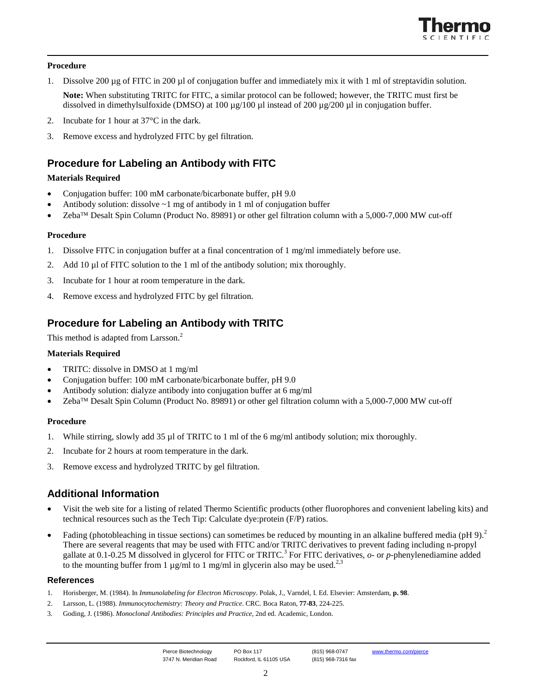

#### **Procedure**

1. Dissolve 200 µg of FITC in 200 µl of conjugation buffer and immediately mix it with 1 ml of streptavidin solution.

**Note:** When substituting TRITC for FITC, a similar protocol can be followed; however, the TRITC must first be dissolved in dimethylsulfoxide (DMSO) at 100  $\mu$ g/100  $\mu$ l instead of 200  $\mu$ g/200  $\mu$ l in conjugation buffer.

- 2. Incubate for 1 hour at 37°C in the dark.
- 3. Remove excess and hydrolyzed FITC by gel filtration.

# **Procedure for Labeling an Antibody with FITC**

#### **Materials Required**

- Conjugation buffer: 100 mM carbonate/bicarbonate buffer, pH 9.0
- Antibody solution: dissolve  $\sim$ 1 mg of antibody in 1 ml of conjugation buffer
- $\mathbb{Z}$ eba<sup>™</sup> Desalt Spin Column (Product No. 89891) or other gel filtration column with a 5,000-7,000 MW cut-off

#### **Procedure**

- 1. Dissolve FITC in conjugation buffer at a final concentration of 1 mg/ml immediately before use.
- 2. Add 10 µl of FITC solution to the 1 ml of the antibody solution; mix thoroughly.
- 3. Incubate for 1 hour at room temperature in the dark.
- 4. Remove excess and hydrolyzed FITC by gel filtration.

# **Procedure for Labeling an Antibody with TRITC**

This method is adapted from Larsson.<sup>2</sup>

#### **Materials Required**

- TRITC: dissolve in DMSO at 1 mg/ml
- Conjugation buffer: 100 mM carbonate/bicarbonate buffer, pH 9.0
- Antibody solution: dialyze antibody into conjugation buffer at 6 mg/ml
- $\text{Zeba}^{\text{TM}}$  Desalt Spin Column (Product No. 89891) or other gel filtration column with a 5,000-7,000 MW cut-off

#### **Procedure**

- 1. While stirring, slowly add 35 µl of TRITC to 1 ml of the 6 mg/ml antibody solution; mix thoroughly.
- 2. Incubate for 2 hours at room temperature in the dark.
- 3. Remove excess and hydrolyzed TRITC by gel filtration.

### **Additional Information**

- Visit the web site for a listing of related Thermo Scientific products (other fluorophores and convenient labeling kits) and technical resources such as the Tech Tip: Calculate dye:protein (F/P) ratios.
- Fading (photobleaching in tissue sections) can sometimes be reduced by mounting in an alkaline buffered media (pH 9).<sup>2</sup> There are several reagents that may be used with FITC and/or TRITC derivatives to prevent fading including n-propyl gallate at 0.1-0.25 M dissolved in glycerol for FITC or TRITC.<sup>3</sup> For FITC derivatives, *o*- or *p*-phenylenediamine added to the mounting buffer from 1  $\mu$ g/ml to 1 mg/ml in glycerin also may be used.<sup>2,3</sup>

#### **References**

- 1. Horisberger, M. (1984). In *Immunolabeling for Electron Microscopy*. Polak, J., Varndel, I. Ed. Elsevier: Amsterdam, **p. 98**.
- 2. Larsson, L. (1988). *Immunocytochemistry: Theory and Practice*. CRC. Boca Raton, **77-83**, 224-225.
- 3. Goding, J. (1986). *Monoclonal Antibodies: Principles and Practice*, 2nd ed. Academic, London.